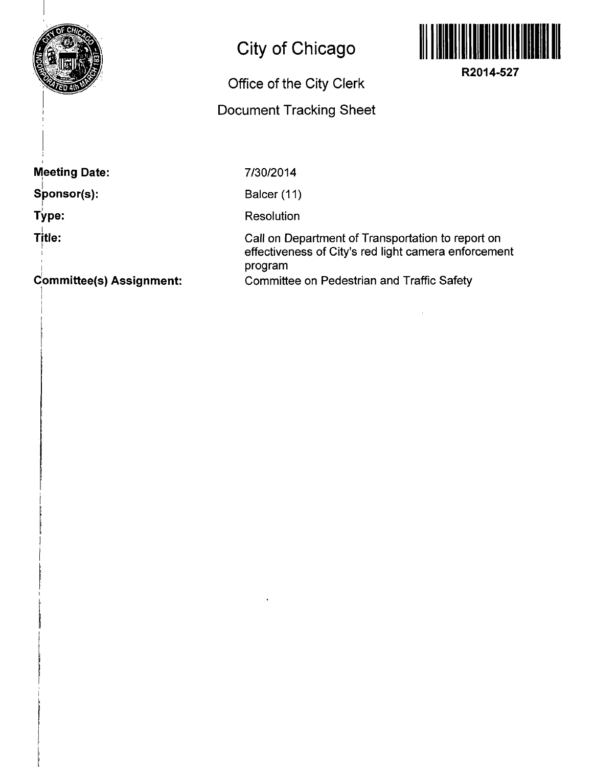

## **City of Chicago**

## **Office of the City Clerk**

## **Document Tracking Sheet**



**R2014-527** 

**Meeting Date:** 

**Sponsor(s):** 

**Type:** 

**Title: Title:**  7/30/2014

Balcer (11)

**Resolution** 

Call on Department of Transportation to report on effectiveness of City's red light camera enforcement program Committee on Pedestrian and Traffic Safety

**Committee(s) Assignment:**